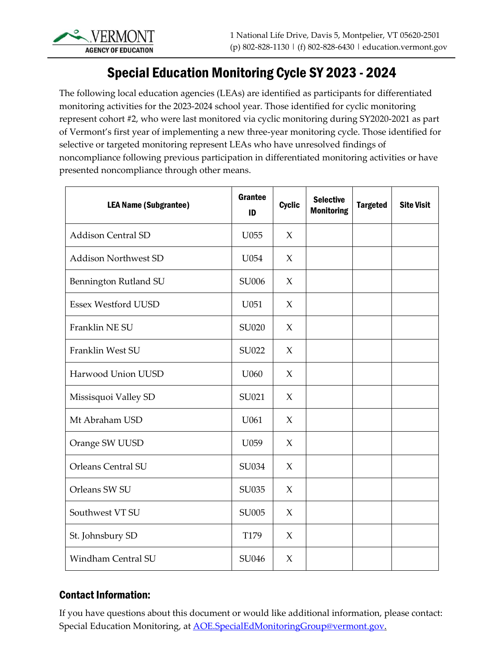## Special Education Monitoring Cycle SY 2023 - 2024

The following local education agencies (LEAs) are identified as participants for differentiated monitoring activities for the 2023-2024 school year. Those identified for cyclic monitoring represent cohort #2, who were last monitored via cyclic monitoring during SY2020-2021 as part of Vermont's first year of implementing a new three-year monitoring cycle. Those identified for selective or targeted monitoring represent LEAs who have unresolved findings of noncompliance following previous participation in differentiated monitoring activities or have presented noncompliance through other means.

| <b>LEA Name (Subgrantee)</b> | Grantee<br>ID | <b>Cyclic</b> | <b>Selective</b><br><b>Monitoring</b> | <b>Targeted</b> | <b>Site Visit</b> |
|------------------------------|---------------|---------------|---------------------------------------|-----------------|-------------------|
| <b>Addison Central SD</b>    | U055          | $\chi$        |                                       |                 |                   |
| <b>Addison Northwest SD</b>  | U054          | $\chi$        |                                       |                 |                   |
| Bennington Rutland SU        | SU006         | $\chi$        |                                       |                 |                   |
| <b>Essex Westford UUSD</b>   | U051          | $\chi$        |                                       |                 |                   |
| Franklin NE SU               | SU020         | $\chi$        |                                       |                 |                   |
| Franklin West SU             | SU022         | $\chi$        |                                       |                 |                   |
| Harwood Union UUSD           | U060          | $\chi$        |                                       |                 |                   |
| Missisquoi Valley SD         | SU021         | $\chi$        |                                       |                 |                   |
| Mt Abraham USD               | U061          | $\chi$        |                                       |                 |                   |
| Orange SW UUSD               | U059          | $\chi$        |                                       |                 |                   |
| <b>Orleans Central SU</b>    | SU034         | $\chi$        |                                       |                 |                   |
| Orleans SW SU                | SU035         | $\chi$        |                                       |                 |                   |
| Southwest VT SU              | SU005         | $\chi$        |                                       |                 |                   |
| St. Johnsbury SD             | T179          | $\chi$        |                                       |                 |                   |
| <b>Windham Central SU</b>    | SU046         | $\chi$        |                                       |                 |                   |

## Contact Information:

If you have questions about this document or would like additional information, please contact: Special Education Monitoring, at **AOE.SpecialEdMonitoringGroup@vermont.gov.**